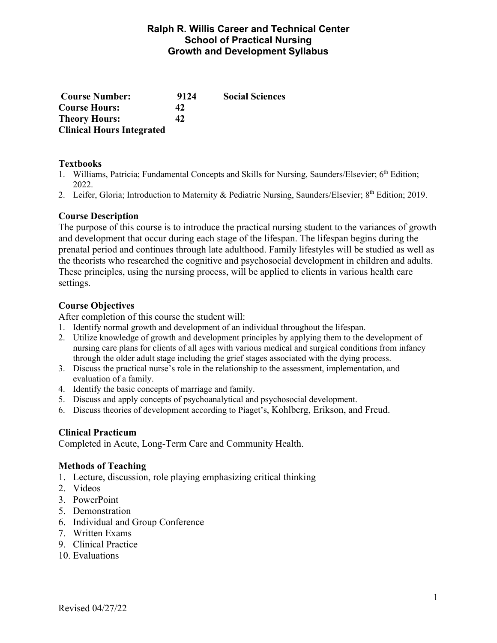#### **Ralph R. Willis Career and Technical Center School of Practical Nursing Growth and Development Syllabus**

| <b>Course Number:</b>            | 9124 | <b>Social Sciences</b> |
|----------------------------------|------|------------------------|
| <b>Course Hours:</b>             | 42   |                        |
| <b>Theory Hours:</b>             | 42   |                        |
| <b>Clinical Hours Integrated</b> |      |                        |

#### **Textbooks**

- 1. Williams, Patricia; Fundamental Concepts and Skills for Nursing, Saunders/Elsevier; 6<sup>th</sup> Edition; 2022.
- 2. Leifer, Gloria; Introduction to Maternity & Pediatric Nursing, Saunders/Elsevier; 8<sup>th</sup> Edition; 2019.

#### **Course Description**

The purpose of this course is to introduce the practical nursing student to the variances of growth and development that occur during each stage of the lifespan. The lifespan begins during the prenatal period and continues through late adulthood. Family lifestyles will be studied as well as the theorists who researched the cognitive and psychosocial development in children and adults. These principles, using the nursing process, will be applied to clients in various health care settings.

#### **Course Objectives**

After completion of this course the student will:

- 1. Identify normal growth and development of an individual throughout the lifespan.
- 2. Utilize knowledge of growth and development principles by applying them to the development of nursing care plans for clients of all ages with various medical and surgical conditions from infancy through the older adult stage including the grief stages associated with the dying process.
- 3. Discuss the practical nurse's role in the relationship to the assessment, implementation, and evaluation of a family.
- 4. Identify the basic concepts of marriage and family.
- 5. Discuss and apply concepts of psychoanalytical and psychosocial development.
- 6. Discuss theories of development according to Piaget's, Kohlberg, Erikson, and Freud.

#### **Clinical Practicum**

Completed in Acute, Long-Term Care and Community Health.

#### **Methods of Teaching**

- 1. Lecture, discussion, role playing emphasizing critical thinking
- 2. Videos
- 3. PowerPoint
- 5. Demonstration
- 6. Individual and Group Conference
- 7. Written Exams
- 9. Clinical Practice
- 10. Evaluations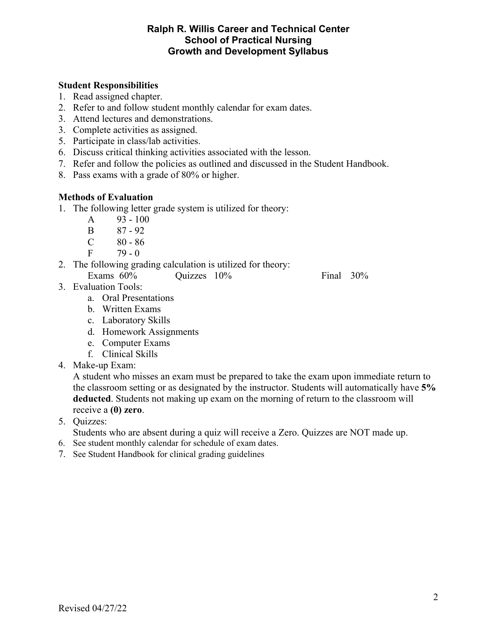#### **Ralph R. Willis Career and Technical Center School of Practical Nursing Growth and Development Syllabus**

#### **Student Responsibilities**

- 1. Read assigned chapter.
- 2. Refer to and follow student monthly calendar for exam dates.
- 3. Attend lectures and demonstrations.
- 3. Complete activities as assigned.
- 5. Participate in class/lab activities.
- 6. Discuss critical thinking activities associated with the lesson.
- 7. Refer and follow the policies as outlined and discussed in the Student Handbook.
- 8. Pass exams with a grade of 80% or higher.

### **Methods of Evaluation**

- 1. The following letter grade system is utilized for theory:
	- A 93 100
	- B 87 92
	- C 80 86
	- $F = 79 0$
- 2. The following grading calculation is utilized for theory: Exams  $60\%$  Quizzes  $10\%$  Final  $30\%$

- 3. Evaluation Tools:
	- a. Oral Presentations
	- b. Written Exams
	- c. Laboratory Skills
	- d. Homework Assignments
	- e. Computer Exams
	- f. Clinical Skills
- 4. Make-up Exam:

 A student who misses an exam must be prepared to take the exam upon immediate return to the classroom setting or as designated by the instructor. Students will automatically have **5% deducted**. Students not making up exam on the morning of return to the classroom will receive a **(0) zero**.

5. Quizzes:

Students who are absent during a quiz will receive a Zero. Quizzes are NOT made up.

- 6. See student monthly calendar for schedule of exam dates.
- 7. See Student Handbook for clinical grading guidelines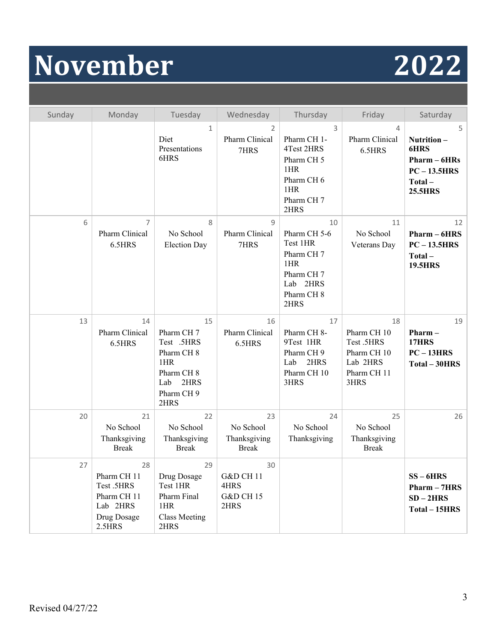# **November 2022**

| Sunday | Monday                                                                              | Tuesday                                                                                                                      | Wednesday                                                          | Thursday                                                                                                       | Friday                                                                            | Saturday                                                                                       |
|--------|-------------------------------------------------------------------------------------|------------------------------------------------------------------------------------------------------------------------------|--------------------------------------------------------------------|----------------------------------------------------------------------------------------------------------------|-----------------------------------------------------------------------------------|------------------------------------------------------------------------------------------------|
|        |                                                                                     | 1<br>Diet<br>Presentations<br>6HRS                                                                                           | 2<br>Pharm Clinical<br>7HRS                                        | 3<br>Pharm CH 1-<br>4Test 2HRS<br>Pharm CH <sub>5</sub><br>1HR<br>Pharm CH 6<br>1HR<br>Pharm CH 7<br>2HRS      | 4<br>Pharm Clinical<br>6.5HRS                                                     | 5<br>Nutrition-<br><b>6HRS</b><br>$Pharm - 6HRs$<br>$PC - 13.5HRS$<br>Total-<br><b>25.5HRS</b> |
| 6      | 7<br>Pharm Clinical<br>6.5HRS                                                       | 8<br>No School<br><b>Election Day</b>                                                                                        | 9<br>Pharm Clinical<br>7HRS                                        | 10<br>Pharm CH 5-6<br>Test 1HR<br>Pharm CH 7<br>1HR<br>Pharm CH 7<br>Lab 2HRS<br>Pharm CH <sub>8</sub><br>2HRS | 11<br>No School<br>Veterans Day                                                   | 12<br>$Pharm - 6HRS$<br>$PC - 13.5HRS$<br>Total-<br><b>19.5HRS</b>                             |
| 13     | 14<br><b>Pharm Clinical</b><br>6.5HRS                                               | 15<br>Pharm CH 7<br>Test .5HRS<br>Pharm CH <sub>8</sub><br>1HR<br>Pharm CH <sub>8</sub><br>2HRS<br>Lab<br>Pharm CH 9<br>2HRS | 16<br>Pharm Clinical<br>6.5HRS                                     | 17<br>Pharm CH 8-<br>9Test 1HR<br>Pharm CH 9<br>2HRS<br>Lab<br>Pharm CH 10<br>3HRS                             | 18<br>Pharm CH 10<br>Test .5HRS<br>Pharm CH 10<br>Lab 2HRS<br>Pharm CH 11<br>3HRS | 19<br>Pharm-<br><b>17HRS</b><br>$PC-13HRS$<br>Total - 30HRS                                    |
| 20     | 21<br>No School<br>Thanksgiving<br><b>Break</b>                                     | 22<br>No School<br>Thanksgiving<br><b>Break</b>                                                                              | 23<br>No School<br>Thanksgiving<br><b>Break</b>                    | 24<br>No School<br>Thanksgiving                                                                                | 25<br>No School<br>Thanksgiving<br><b>Break</b>                                   | 26                                                                                             |
| 27     | 28<br>Pharm CH 11<br>Test .5HRS<br>Pharm CH 11<br>Lab 2HRS<br>Drug Dosage<br>2.5HRS | 29<br>Drug Dosage<br>Test 1HR<br>Pharm Final<br>1HR<br><b>Class Meeting</b><br>2HRS                                          | 30<br><b>G&amp;D CH 11</b><br>4HRS<br><b>G&amp;D CH 15</b><br>2HRS |                                                                                                                |                                                                                   | $SS - 6HRS$<br>$Pharm - 7HRS$<br>$SD-2HRS$<br>Total – 15HRS                                    |